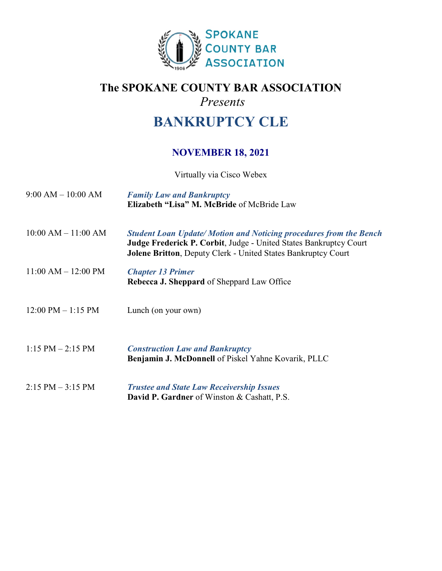

## **The SPOKANE COUNTY BAR ASSOCIATION** *Presents*

# **BANKRUPTCY CLE**

### **NOVEMBER 18, 2021**

Virtually via Cisco Webex

| $9:00 AM - 10:00 AM$                 | <b>Family Law and Bankruptcy</b><br>Elizabeth "Lisa" M. McBride of McBride Law                                                                                                                                        |
|--------------------------------------|-----------------------------------------------------------------------------------------------------------------------------------------------------------------------------------------------------------------------|
| $10:00$ AM $- 11:00$ AM              | <b>Student Loan Update/Motion and Noticing procedures from the Bench</b><br>Judge Frederick P. Corbit, Judge - United States Bankruptcy Court<br><b>Jolene Britton, Deputy Clerk - United States Bankruptcy Court</b> |
| $11:00$ AM $- 12:00$ PM              | <b>Chapter 13 Primer</b><br><b>Rebecca J. Sheppard of Sheppard Law Office</b>                                                                                                                                         |
| $12:00 \text{ PM} - 1:15 \text{ PM}$ | Lunch (on your own)                                                                                                                                                                                                   |
| $1:15$ PM $-2:15$ PM                 | <b>Construction Law and Bankruptcy</b><br><b>Benjamin J. McDonnell</b> of Piskel Yahne Kovarik, PLLC                                                                                                                  |
| $2:15$ PM $-3:15$ PM                 | <b>Trustee and State Law Receivership Issues</b><br><b>David P. Gardner</b> of Winston & Cashatt, P.S.                                                                                                                |